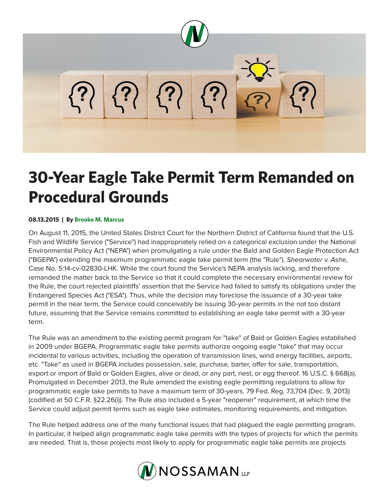

## **30-Year Eagle Take Permit Term Remanded on Procedural Grounds**

## **08.13.2015 | By Brooke M. Marcus**

On August 11, 2015, the United States District Court for the Northern District of California found that the U.S. Fish and Wildlife Service ("Service") had inappropriately relied on a categorical exclusion under the National Environmental Policy Act ("NEPA") when promulgating a rule under the Bald and Golden Eagle Protection Act ("BGEPA") extending the maximum programmatic eagle take permit term (the "Rule"). *Shearwater v. Ashe*, Case No. 5:14-cv-02830-LHK. While the court found the Service's NEPA analysis lacking, and therefore remanded the matter back to the Service so that it could complete the necessary environmental review for the Rule, the court rejected plaintiffs' assertion that the Service had failed to satisfy its obligations under the Endangered Species Act ("ESA"). Thus, while the decision may foreclose the issuance of a 30-year take permit in the near term, the Service could conceivably be issuing 30-year permits in the not too distant future, assuming that the Service remains committed to establishing an eagle take permit with a 30-year term.

The Rule was an amendment to the existing permit program for "take" of Bald or Golden Eagles established in 2009 under BGEPA. Programmatic eagle take permits authorize ongoing eagle "take" that may occur incidental to various activities, including the operation of transmission lines, wind energy facilities, airports, etc. "Take" as used in BGEPA includes possession, sale, purchase, barter, offer for sale, transportation, export or import of Bald or Golden Eagles, alive or dead, or any part, nest, or egg thereof. 16 U.S.C. § 668(a). Promulgated in December 2013, the Rule amended the existing eagle permitting regulations to allow for programmatic eagle take permits to have a maximum term of 30-years. 79 Fed. Reg. 73,704 (Dec. 9, 2013) (codified at 50 C.F.R. §22.26(i)). The Rule also included a 5-year "reopener" requirement, at which time the Service could adjust permit terms such as eagle take estimates, monitoring requirements, and mitigation.

The Rule helped address one of the many functional issues that had plagued the eagle permitting program. In particular, it helped align programmatic eagle take permits with the types of projects for which the permits are needed. That is, those projects most likely to apply for programmatic eagle take permits are projects